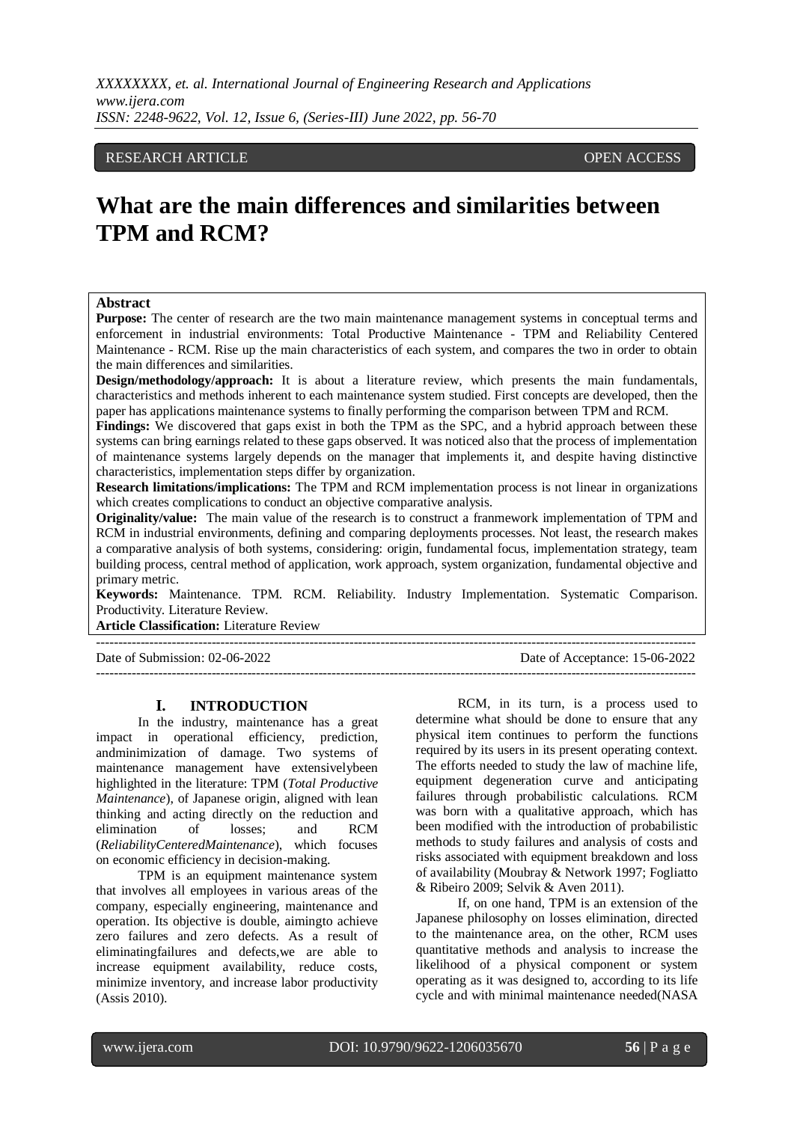## RESEARCH ARTICLE **CONSERVERS** OPEN ACCESS

# **What are the main differences and similarities between TPM and RCM?**

#### **Abstract**

**Purpose:** The center of research are the two main maintenance management systems in conceptual terms and enforcement in industrial environments: Total Productive Maintenance - TPM and Reliability Centered Maintenance - RCM. Rise up the main characteristics of each system, and compares the two in order to obtain the main differences and similarities.

**Design/methodology/approach:** It is about a literature review, which presents the main fundamentals, characteristics and methods inherent to each maintenance system studied. First concepts are developed, then the paper has applications maintenance systems to finally performing the comparison between TPM and RCM.

Findings: We discovered that gaps exist in both the TPM as the SPC, and a hybrid approach between these systems can bring earnings related to these gaps observed. It was noticed also that the process of implementation of maintenance systems largely depends on the manager that implements it, and despite having distinctive characteristics, implementation steps differ by organization.

**Research limitations/implications:** The TPM and RCM implementation process is not linear in organizations which creates complications to conduct an objective comparative analysis.

**Originality/value:** The main value of the research is to construct a franmework implementation of TPM and RCM in industrial environments, defining and comparing deployments processes. Not least, the research makes a comparative analysis of both systems, considering: origin, fundamental focus, implementation strategy, team building process, central method of application, work approach, system organization, fundamental objective and primary metric.

**Keywords:** Maintenance. TPM. RCM. Reliability. Industry Implementation. Systematic Comparison. Productivity. Literature Review.

---------------------------------------------------------------------------------------------------------------------------------------

**Article Classification:** Literature Review

Date of Submission: 02-06-2022 Date of Acceptance: 15-06-2022

#### **I. INTRODUCTION**

In the industry, maintenance has a great impact in operational efficiency, prediction, andminimization of damage. Two systems of maintenance management have extensivelybeen highlighted in the literature: TPM (*Total Productive Maintenance*), of Japanese origin, aligned with lean thinking and acting directly on the reduction and elimination of losses; and RCM (*ReliabilityCenteredMaintenance*), which focuses on economic efficiency in decision-making.

TPM is an equipment maintenance system that involves all employees in various areas of the company, especially engineering, maintenance and operation. Its objective is double, aimingto achieve zero failures and zero defects. As a result of eliminatingfailures and defects,we are able to increase equipment availability, reduce costs, minimize inventory, and increase labor productivity (Assis 2010).

RCM, in its turn, is a process used to determine what should be done to ensure that any physical item continues to perform the functions required by its users in its present operating context. The efforts needed to study the law of machine life, equipment degeneration curve and anticipating failures through probabilistic calculations. RCM was born with a qualitative approach, which has been modified with the introduction of probabilistic methods to study failures and analysis of costs and risks associated with equipment breakdown and loss of availability (Moubray & Network 1997; Fogliatto & Ribeiro 2009; Selvik & Aven 2011).

---------------------------------------------------------------------------------------------------------------------------------------

If, on one hand, TPM is an extension of the Japanese philosophy on losses elimination, directed to the maintenance area, on the other, RCM uses quantitative methods and analysis to increase the likelihood of a physical component or system operating as it was designed to, according to its life cycle and with minimal maintenance needed(NASA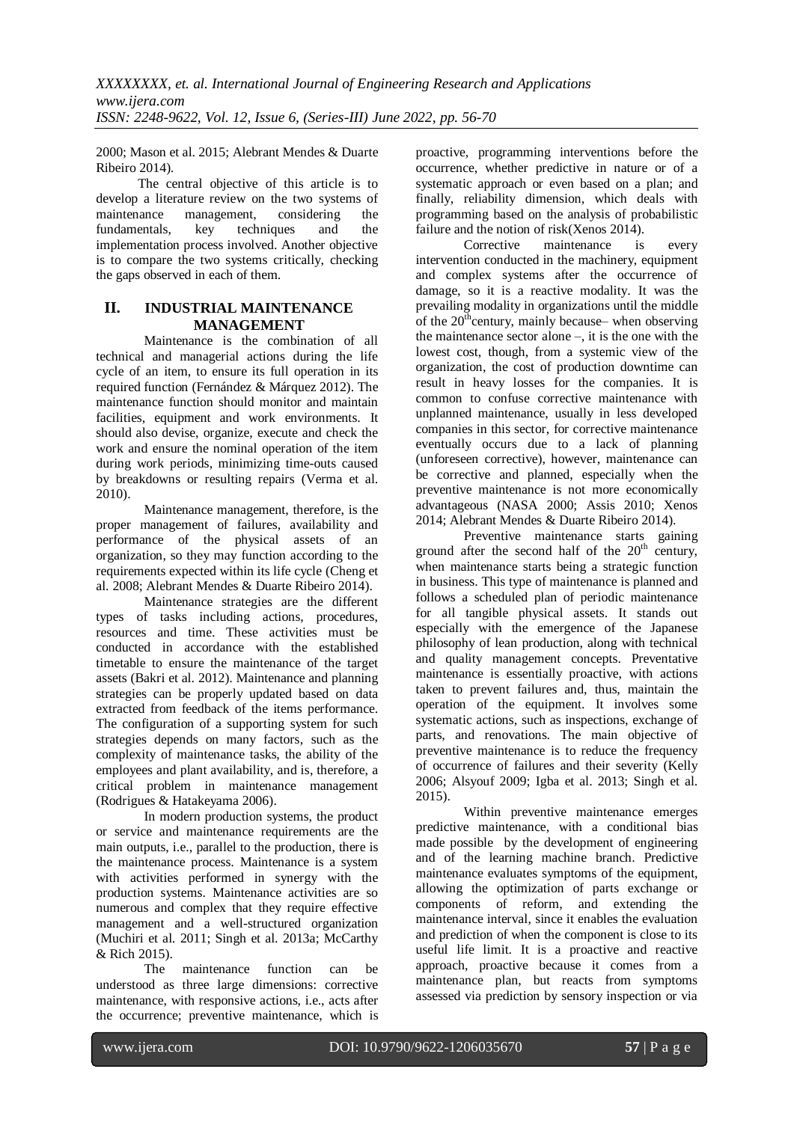2000; Mason et al. 2015; Alebrant Mendes & Duarte Ribeiro 2014).

The central objective of this article is to develop a literature review on the two systems of maintenance management, considering the fundamentals, key techniques and the implementation process involved. Another objective is to compare the two systems critically, checking the gaps observed in each of them.

# **II. INDUSTRIAL MAINTENANCE MANAGEMENT**

Maintenance is the combination of all technical and managerial actions during the life cycle of an item, to ensure its full operation in its required function (Fernández & Márquez 2012). The maintenance function should monitor and maintain facilities, equipment and work environments. It should also devise, organize, execute and check the work and ensure the nominal operation of the item during work periods, minimizing time-outs caused by breakdowns or resulting repairs (Verma et al. 2010).

Maintenance management, therefore, is the proper management of failures, availability and performance of the physical assets of an organization, so they may function according to the requirements expected within its life cycle (Cheng et al. 2008; Alebrant Mendes & Duarte Ribeiro 2014).

Maintenance strategies are the different types of tasks including actions, procedures, resources and time. These activities must be conducted in accordance with the established timetable to ensure the maintenance of the target assets (Bakri et al. 2012). Maintenance and planning strategies can be properly updated based on data extracted from feedback of the items performance. The configuration of a supporting system for such strategies depends on many factors, such as the complexity of maintenance tasks, the ability of the employees and plant availability, and is, therefore, a critical problem in maintenance management (Rodrigues & Hatakeyama 2006).

In modern production systems, the product or service and maintenance requirements are the main outputs, i.e., parallel to the production, there is the maintenance process. Maintenance is a system with activities performed in synergy with the production systems. Maintenance activities are so numerous and complex that they require effective management and a well-structured organization (Muchiri et al. 2011; Singh et al. 2013a; McCarthy & Rich 2015).

The maintenance function can be understood as three large dimensions: corrective maintenance, with responsive actions, i.e., acts after the occurrence; preventive maintenance, which is

proactive, programming interventions before the occurrence, whether predictive in nature or of a systematic approach or even based on a plan; and finally, reliability dimension, which deals with programming based on the analysis of probabilistic failure and the notion of risk(Xenos 2014).

Corrective maintenance is every intervention conducted in the machinery, equipment and complex systems after the occurrence of damage, so it is a reactive modality. It was the prevailing modality in organizations until the middle of the  $20<sup>th</sup>$ century, mainly because– when observing the maintenance sector alone –, it is the one with the lowest cost, though, from a systemic view of the organization, the cost of production downtime can result in heavy losses for the companies. It is common to confuse corrective maintenance with unplanned maintenance, usually in less developed companies in this sector, for corrective maintenance eventually occurs due to a lack of planning (unforeseen corrective), however, maintenance can be corrective and planned, especially when the preventive maintenance is not more economically advantageous (NASA 2000; Assis 2010; Xenos 2014; Alebrant Mendes & Duarte Ribeiro 2014).

Preventive maintenance starts gaining ground after the second half of the 20<sup>th</sup> century, when maintenance starts being a strategic function in business. This type of maintenance is planned and follows a scheduled plan of periodic maintenance for all tangible physical assets. It stands out especially with the emergence of the Japanese philosophy of lean production, along with technical and quality management concepts. Preventative maintenance is essentially proactive, with actions taken to prevent failures and, thus, maintain the operation of the equipment. It involves some systematic actions, such as inspections, exchange of parts, and renovations. The main objective of preventive maintenance is to reduce the frequency of occurrence of failures and their severity (Kelly 2006; Alsyouf 2009; Igba et al. 2013; Singh et al. 2015).

Within preventive maintenance emerges predictive maintenance, with a conditional bias made possible by the development of engineering and of the learning machine branch. Predictive maintenance evaluates symptoms of the equipment, allowing the optimization of parts exchange or components of reform, and extending the maintenance interval, since it enables the evaluation and prediction of when the component is close to its useful life limit. It is a proactive and reactive approach, proactive because it comes from a maintenance plan, but reacts from symptoms assessed via prediction by sensory inspection or via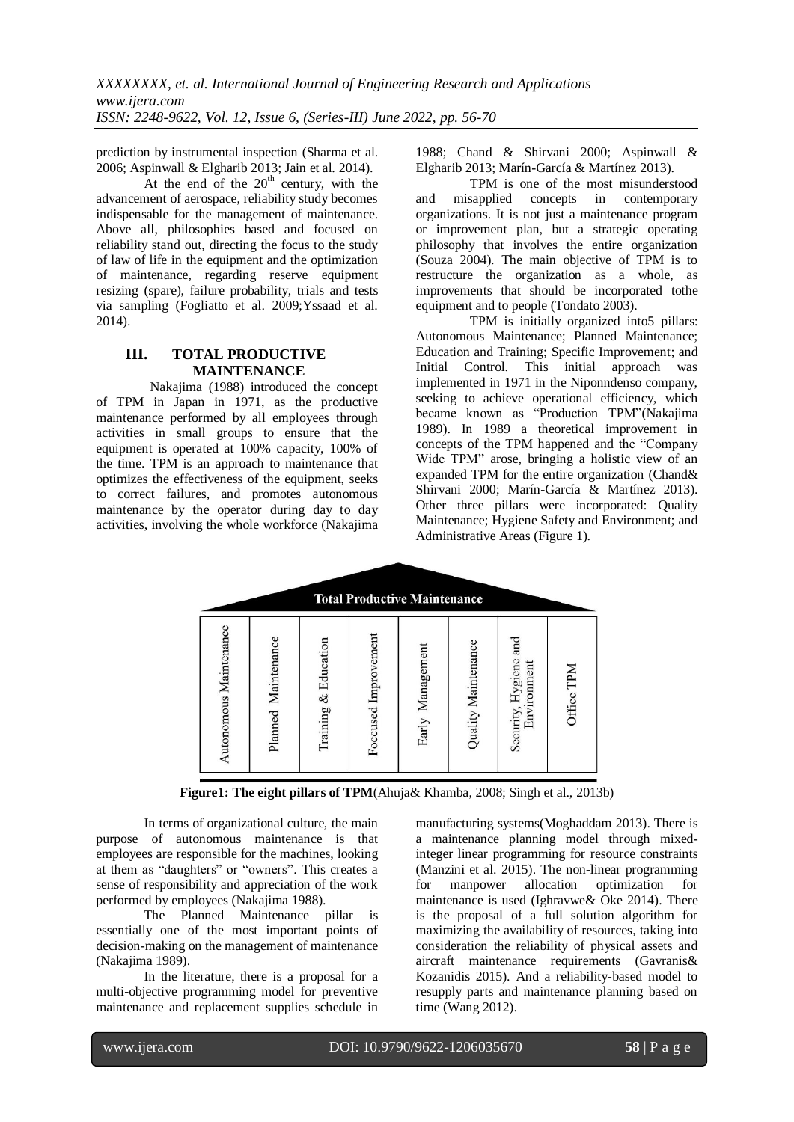prediction by instrumental inspection (Sharma et al. 2006; Aspinwall & Elgharib 2013; Jain et al. 2014).

At the end of the  $20<sup>th</sup>$  century, with the advancement of aerospace, reliability study becomes indispensable for the management of maintenance. Above all, philosophies based and focused on reliability stand out, directing the focus to the study of law of life in the equipment and the optimization of maintenance, regarding reserve equipment resizing (spare), failure probability, trials and tests via sampling (Fogliatto et al. 2009;Yssaad et al. 2014).

# **III. TOTAL PRODUCTIVE MAINTENANCE**

Nakajima (1988) introduced the concept of TPM in Japan in 1971, as the productive maintenance performed by all employees through activities in small groups to ensure that the equipment is operated at 100% capacity, 100% of the time. TPM is an approach to maintenance that optimizes the effectiveness of the equipment, seeks to correct failures, and promotes autonomous maintenance by the operator during day to day activities, involving the whole workforce (Nakajima

1988; Chand & Shirvani 2000; Aspinwall & Elgharib 2013; Marín-García & Martínez 2013).

TPM is one of the most misunderstood and misapplied concepts in contemporary organizations. It is not just a maintenance program or improvement plan, but a strategic operating philosophy that involves the entire organization (Souza 2004). The main objective of TPM is to restructure the organization as a whole, as improvements that should be incorporated tothe equipment and to people (Tondato 2003).

TPM is initially organized into5 pillars: Autonomous Maintenance; Planned Maintenance; Education and Training; Specific Improvement; and Initial Control. This initial approach was implemented in 1971 in the Niponndenso company, seeking to achieve operational efficiency, which became known as "Production TPM"(Nakajima 1989). In 1989 a theoretical improvement in concepts of the TPM happened and the "Company Wide TPM" arose, bringing a holistic view of an expanded TPM for the entire organization (Chand& Shirvani 2000; Marín-García & Martínez 2013). Other three pillars were incorporated: Quality Maintenance; Hygiene Safety and Environment; and Administrative Areas (Figure 1).

| <b>Total Productive Maintenance</b> |                     |                      |                      |                  |                     |                                      |            |
|-------------------------------------|---------------------|----------------------|----------------------|------------------|---------------------|--------------------------------------|------------|
| Autonomous Maintenance              | Planned Maintenance | Training & Education | Foccused Improvement | Early Management | Quality Maintenance | Security, Hygiene and<br>Environment | Office TPM |

**Figure1: The eight pillars of TPM**(Ahuja& Khamba, 2008; Singh et al., 2013b)

In terms of organizational culture, the main purpose of autonomous maintenance is that employees are responsible for the machines, looking at them as "daughters" or "owners". This creates a sense of responsibility and appreciation of the work performed by employees (Nakajima 1988).

The Planned Maintenance pillar is essentially one of the most important points of decision-making on the management of maintenance (Nakajima 1989).

In the literature, there is a proposal for a multi-objective programming model for preventive maintenance and replacement supplies schedule in manufacturing systems(Moghaddam 2013). There is a maintenance planning model through mixedinteger linear programming for resource constraints (Manzini et al. 2015). The non-linear programming<br>for manpower allocation optimization for for manpower allocation optimization for maintenance is used (Ighravwe& Oke 2014). There is the proposal of a full solution algorithm for maximizing the availability of resources, taking into consideration the reliability of physical assets and aircraft maintenance requirements (Gavranis& Kozanidis 2015). And a reliability-based model to resupply parts and maintenance planning based on time (Wang 2012).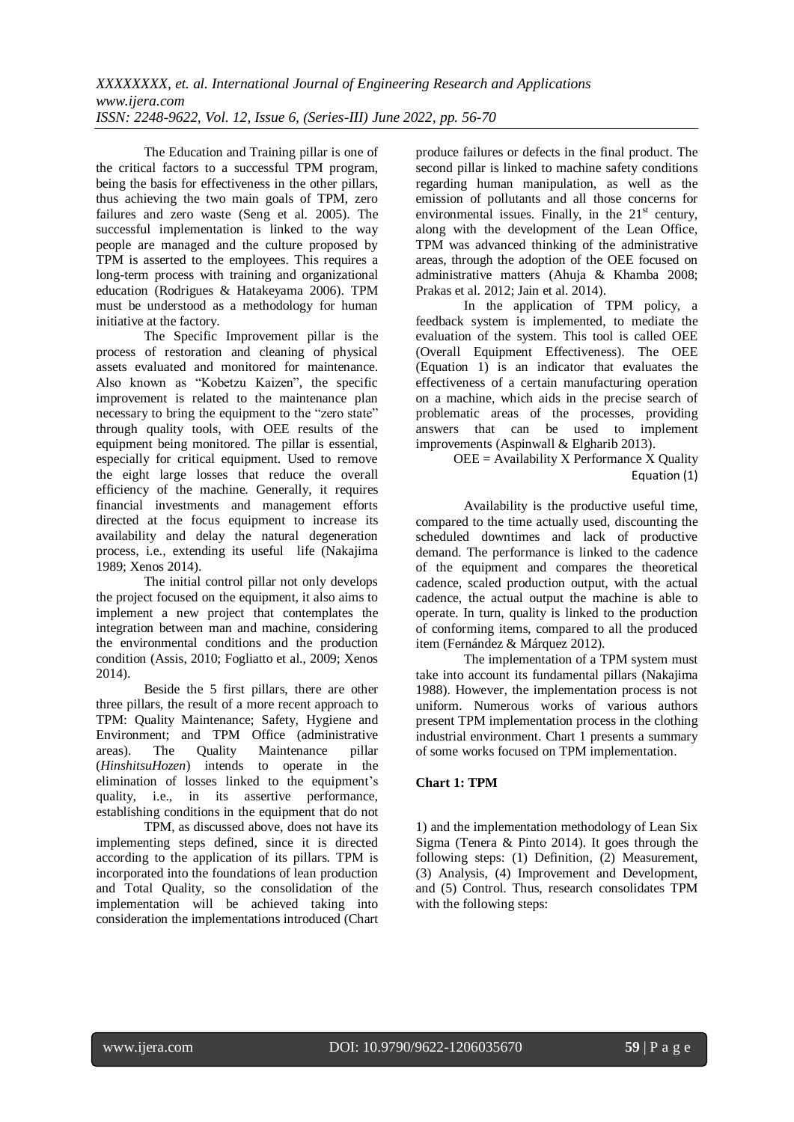The Education and Training pillar is one of the critical factors to a successful TPM program, being the basis for effectiveness in the other pillars, thus achieving the two main goals of TPM, zero failures and zero waste (Seng et al. 2005). The successful implementation is linked to the way people are managed and the culture proposed by TPM is asserted to the employees. This requires a long-term process with training and organizational education (Rodrigues & Hatakeyama 2006). TPM must be understood as a methodology for human initiative at the factory.

The Specific Improvement pillar is the process of restoration and cleaning of physical assets evaluated and monitored for maintenance. Also known as "Kobetzu Kaizen", the specific improvement is related to the maintenance plan necessary to bring the equipment to the "zero state" through quality tools, with OEE results of the equipment being monitored. The pillar is essential, especially for critical equipment. Used to remove the eight large losses that reduce the overall efficiency of the machine. Generally, it requires financial investments and management efforts directed at the focus equipment to increase its availability and delay the natural degeneration process, i.e., extending its useful life (Nakajima 1989; Xenos 2014).

The initial control pillar not only develops the project focused on the equipment, it also aims to implement a new project that contemplates the integration between man and machine, considering the environmental conditions and the production condition (Assis, 2010; Fogliatto et al., 2009; Xenos 2014).

Beside the 5 first pillars, there are other three pillars, the result of a more recent approach to TPM: Quality Maintenance; Safety, Hygiene and Environment; and TPM Office (administrative areas). The Quality Maintenance pillar (*HinshitsuHozen*) intends to operate in the elimination of losses linked to the equipment's quality, i.e., in its assertive performance, establishing conditions in the equipment that do not

TPM, as discussed above, does not have its implementing steps defined, since it is directed according to the application of its pillars. TPM is incorporated into the foundations of lean production and Total Quality, so the consolidation of the implementation will be achieved taking into consideration the implementations introduced (Chart

produce failures or defects in the final product. The second pillar is linked to machine safety conditions regarding human manipulation, as well as the emission of pollutants and all those concerns for environmental issues. Finally, in the  $21<sup>st</sup>$  century, along with the development of the Lean Office, TPM was advanced thinking of the administrative areas, through the adoption of the OEE focused on administrative matters (Ahuja & Khamba 2008; Prakas et al. 2012; Jain et al. 2014).

In the application of TPM policy, a feedback system is implemented, to mediate the evaluation of the system. This tool is called OEE (Overall Equipment Effectiveness). The OEE (Equation 1) is an indicator that evaluates the effectiveness of a certain manufacturing operation on a machine, which aids in the precise search of problematic areas of the processes, providing answers that can be used to implement improvements (Aspinwall & Elgharib 2013).

OEE = Availability X Performance X Quality Equation (1)

Availability is the productive useful time, compared to the time actually used, discounting the scheduled downtimes and lack of productive demand. The performance is linked to the cadence of the equipment and compares the theoretical cadence, scaled production output, with the actual cadence, the actual output the machine is able to operate. In turn, quality is linked to the production of conforming items, compared to all the produced item (Fernández & Márquez 2012).

The implementation of a TPM system must take into account its fundamental pillars (Nakajima 1988). However, the implementation process is not uniform. Numerous works of various authors present TPM implementation process in the clothing industrial environment. Chart 1 presents a summary of some works focused on TPM implementation.

# **Chart 1: TPM**

1) and the implementation methodology of Lean Six Sigma (Tenera & Pinto 2014). It goes through the following steps: (1) Definition, (2) Measurement, (3) Analysis, (4) Improvement and Development, and (5) Control. Thus, research consolidates TPM with the following steps: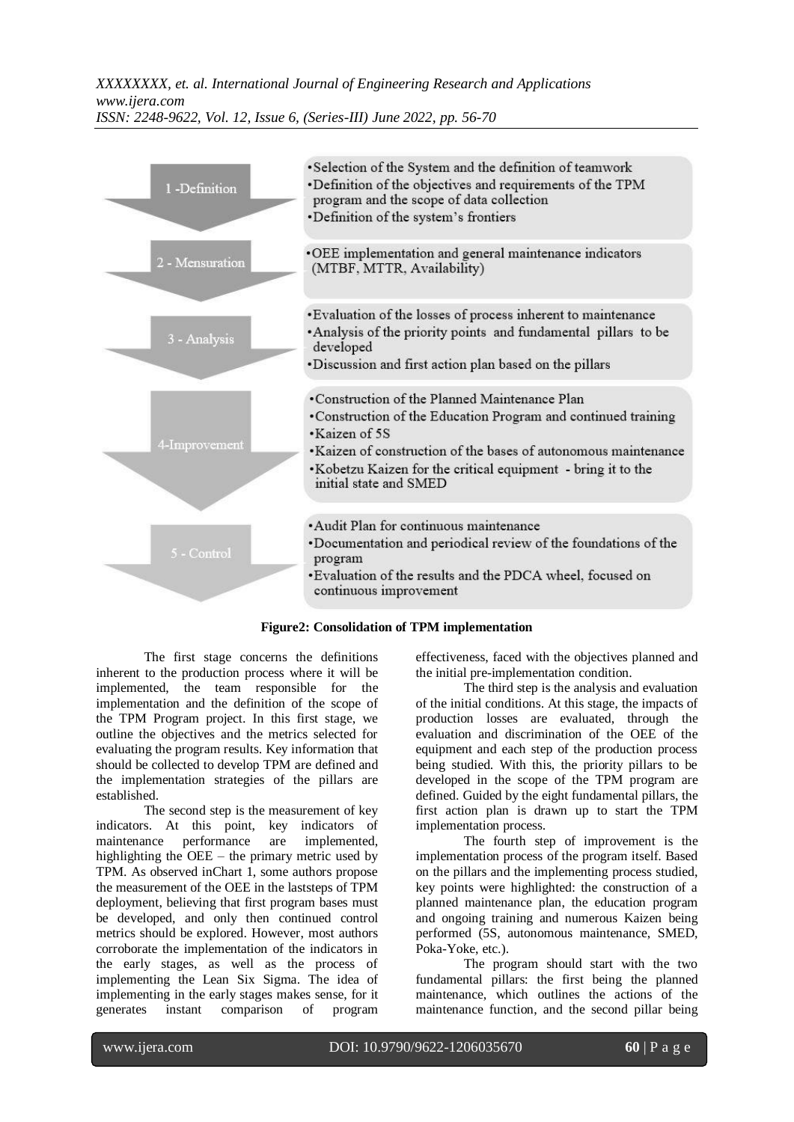

**Figure2: Consolidation of TPM implementation**

The first stage concerns the definitions inherent to the production process where it will be implemented, the team responsible for the implementation and the definition of the scope of the TPM Program project. In this first stage, we outline the objectives and the metrics selected for evaluating the program results. Key information that should be collected to develop TPM are defined and the implementation strategies of the pillars are established.

The second step is the measurement of key indicators. At this point, key indicators of maintenance performance are implemented, highlighting the OEE – the primary metric used by TPM. As observed inChart 1, some authors propose the measurement of the OEE in the laststeps of TPM deployment, believing that first program bases must be developed, and only then continued control metrics should be explored. However, most authors corroborate the implementation of the indicators in the early stages, as well as the process of implementing the Lean Six Sigma. The idea of implementing in the early stages makes sense, for it generates instant comparison of program

effectiveness, faced with the objectives planned and the initial pre-implementation condition.

The third step is the analysis and evaluation of the initial conditions. At this stage, the impacts of production losses are evaluated, through the evaluation and discrimination of the OEE of the equipment and each step of the production process being studied. With this, the priority pillars to be developed in the scope of the TPM program are defined. Guided by the eight fundamental pillars, the first action plan is drawn up to start the TPM implementation process.

The fourth step of improvement is the implementation process of the program itself. Based on the pillars and the implementing process studied, key points were highlighted: the construction of a planned maintenance plan, the education program and ongoing training and numerous Kaizen being performed (5S, autonomous maintenance, SMED, Poka-Yoke, etc.).

The program should start with the two fundamental pillars: the first being the planned maintenance, which outlines the actions of the maintenance function, and the second pillar being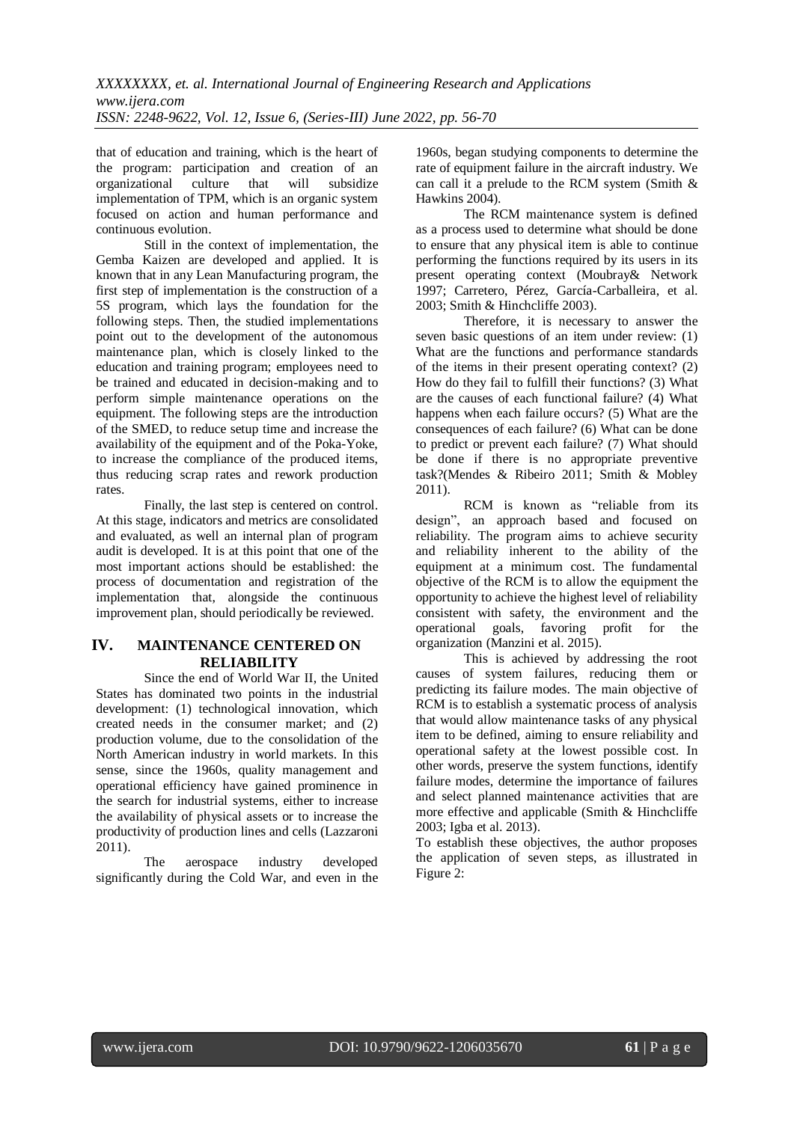that of education and training, which is the heart of the program: participation and creation of an organizational culture that will subsidize implementation of TPM, which is an organic system focused on action and human performance and continuous evolution.

Still in the context of implementation, the Gemba Kaizen are developed and applied. It is known that in any Lean Manufacturing program, the first step of implementation is the construction of a 5S program, which lays the foundation for the following steps. Then, the studied implementations point out to the development of the autonomous maintenance plan, which is closely linked to the education and training program; employees need to be trained and educated in decision-making and to perform simple maintenance operations on the equipment. The following steps are the introduction of the SMED, to reduce setup time and increase the availability of the equipment and of the Poka-Yoke, to increase the compliance of the produced items, thus reducing scrap rates and rework production rates.

Finally, the last step is centered on control. At this stage, indicators and metrics are consolidated and evaluated, as well an internal plan of program audit is developed. It is at this point that one of the most important actions should be established: the process of documentation and registration of the implementation that, alongside the continuous improvement plan, should periodically be reviewed.

# **IV. MAINTENANCE CENTERED ON RELIABILITY**

Since the end of World War II, the United States has dominated two points in the industrial development: (1) technological innovation, which created needs in the consumer market; and (2) production volume, due to the consolidation of the North American industry in world markets. In this sense, since the 1960s, quality management and operational efficiency have gained prominence in the search for industrial systems, either to increase the availability of physical assets or to increase the productivity of production lines and cells (Lazzaroni 2011).

The aerospace industry developed significantly during the Cold War, and even in the

1960s, began studying components to determine the rate of equipment failure in the aircraft industry. We can call it a prelude to the RCM system (Smith & Hawkins 2004).

The RCM maintenance system is defined as a process used to determine what should be done to ensure that any physical item is able to continue performing the functions required by its users in its present operating context (Moubray& Network 1997; Carretero, Pérez, García-Carballeira, et al. 2003; Smith & Hinchcliffe 2003).

Therefore, it is necessary to answer the seven basic questions of an item under review: (1) What are the functions and performance standards of the items in their present operating context? (2) How do they fail to fulfill their functions? (3) What are the causes of each functional failure? (4) What happens when each failure occurs? (5) What are the consequences of each failure? (6) What can be done to predict or prevent each failure? (7) What should be done if there is no appropriate preventive task?(Mendes & Ribeiro 2011; Smith & Mobley 2011).

RCM is known as "reliable from its design", an approach based and focused on reliability. The program aims to achieve security and reliability inherent to the ability of the equipment at a minimum cost. The fundamental objective of the RCM is to allow the equipment the opportunity to achieve the highest level of reliability consistent with safety, the environment and the operational goals, favoring profit for the organization (Manzini et al. 2015).

This is achieved by addressing the root causes of system failures, reducing them or predicting its failure modes. The main objective of RCM is to establish a systematic process of analysis that would allow maintenance tasks of any physical item to be defined, aiming to ensure reliability and operational safety at the lowest possible cost. In other words, preserve the system functions, identify failure modes, determine the importance of failures and select planned maintenance activities that are more effective and applicable (Smith & Hinchcliffe 2003; Igba et al. 2013).

To establish these objectives, the author proposes the application of seven steps, as illustrated in Figure 2: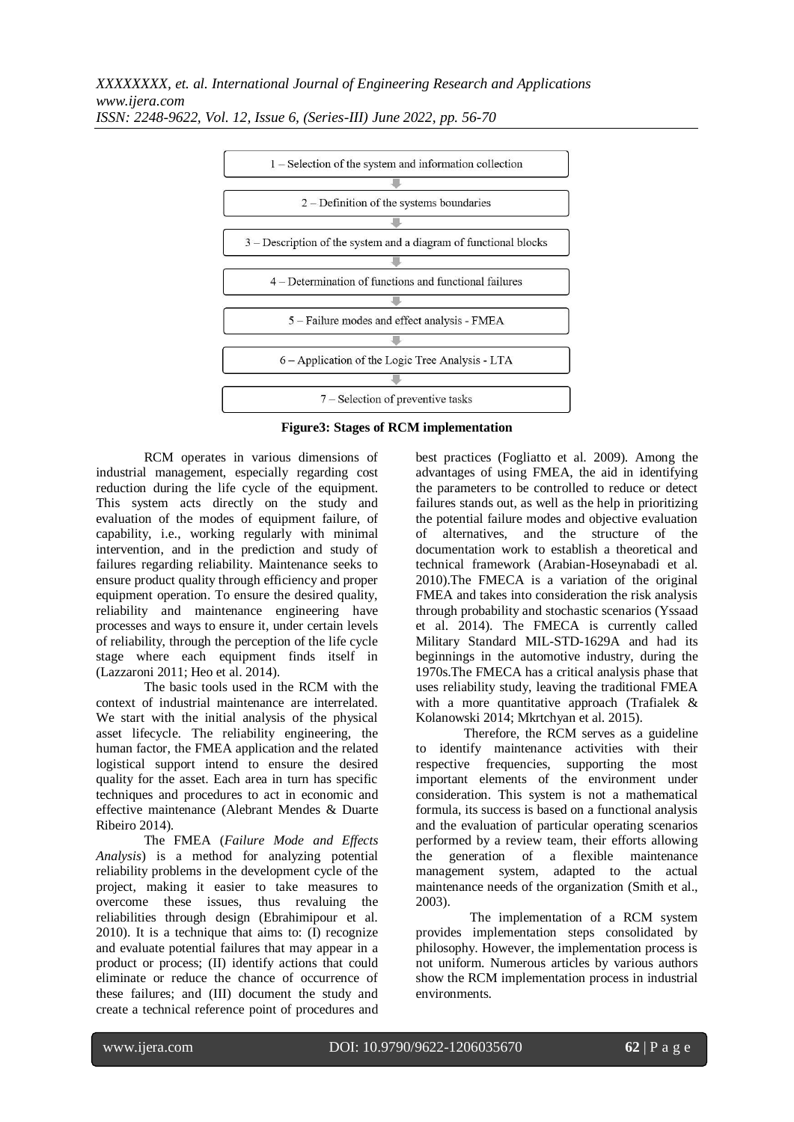*XXXXXXXX, et. al. International Journal of Engineering Research and Applications www.ijera.com*



*ISSN: 2248-9622, Vol. 12, Issue 6, (Series-III) June 2022, pp. 56-70*

**Figure3: Stages of RCM implementation**

RCM operates in various dimensions of industrial management, especially regarding cost reduction during the life cycle of the equipment. This system acts directly on the study and evaluation of the modes of equipment failure, of capability, i.e., working regularly with minimal intervention, and in the prediction and study of failures regarding reliability. Maintenance seeks to ensure product quality through efficiency and proper equipment operation. To ensure the desired quality, reliability and maintenance engineering have processes and ways to ensure it, under certain levels of reliability, through the perception of the life cycle stage where each equipment finds itself in (Lazzaroni 2011; Heo et al. 2014).

The basic tools used in the RCM with the context of industrial maintenance are interrelated. We start with the initial analysis of the physical asset lifecycle. The reliability engineering, the human factor, the FMEA application and the related logistical support intend to ensure the desired quality for the asset. Each area in turn has specific techniques and procedures to act in economic and effective maintenance (Alebrant Mendes & Duarte Ribeiro 2014).

The FMEA (*Failure Mode and Effects Analysis*) is a method for analyzing potential reliability problems in the development cycle of the project, making it easier to take measures to overcome these issues, thus revaluing the reliabilities through design (Ebrahimipour et al. 2010). It is a technique that aims to: (I) recognize and evaluate potential failures that may appear in a product or process; (II) identify actions that could eliminate or reduce the chance of occurrence of these failures; and (III) document the study and create a technical reference point of procedures and

best practices (Fogliatto et al. 2009). Among the advantages of using FMEA, the aid in identifying the parameters to be controlled to reduce or detect failures stands out, as well as the help in prioritizing the potential failure modes and objective evaluation of alternatives, and the structure of the documentation work to establish a theoretical and technical framework (Arabian-Hoseynabadi et al. 2010).The FMECA is a variation of the original FMEA and takes into consideration the risk analysis through probability and stochastic scenarios (Yssaad et al. 2014). The FMECA is currently called Military Standard MIL-STD-1629A and had its beginnings in the automotive industry, during the 1970s.The FMECA has a critical analysis phase that uses reliability study, leaving the traditional FMEA with a more quantitative approach (Trafialek & Kolanowski 2014; Mkrtchyan et al. 2015).

Therefore, the RCM serves as a guideline to identify maintenance activities with their respective frequencies, supporting the most important elements of the environment under consideration. This system is not a mathematical formula, its success is based on a functional analysis and the evaluation of particular operating scenarios performed by a review team, their efforts allowing the generation of a flexible maintenance management system, adapted to the actual maintenance needs of the organization (Smith et al., 2003).

The implementation of a RCM system provides implementation steps consolidated by philosophy. However, the implementation process is not uniform. Numerous articles by various authors show the RCM implementation process in industrial environments.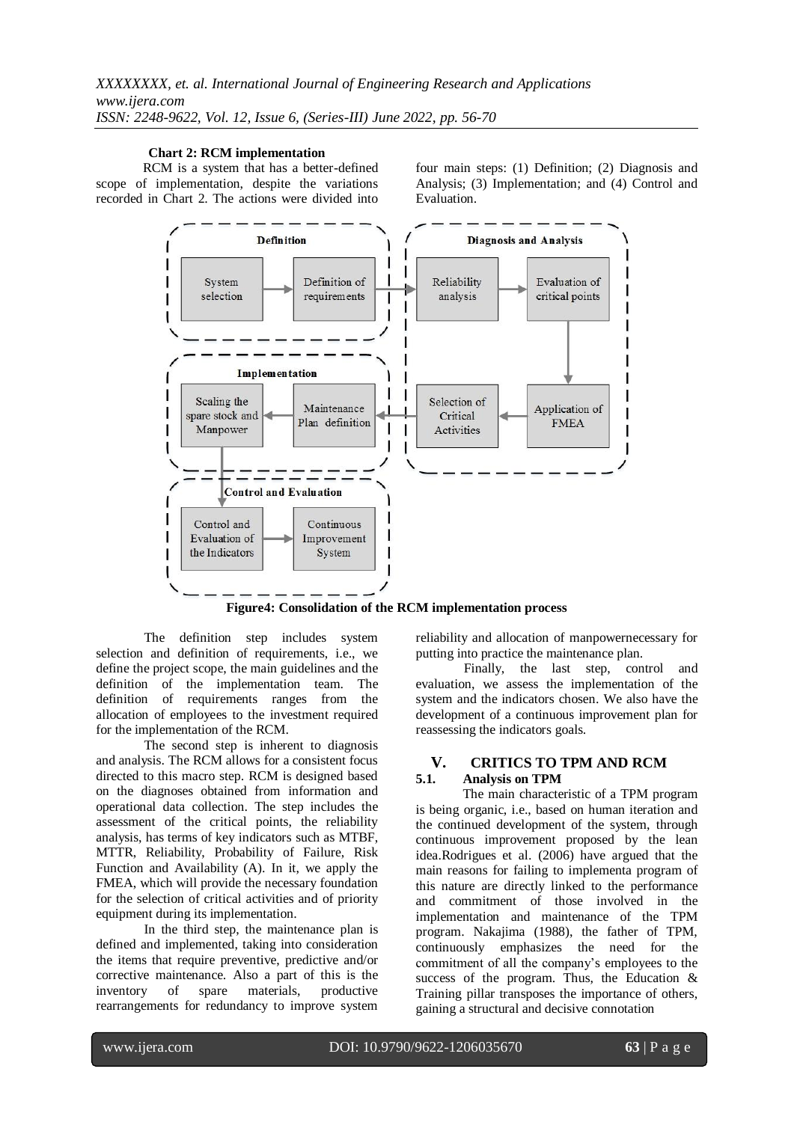#### **Chart 2: RCM implementation**

RCM is a system that has a better-defined scope of implementation, despite the variations recorded in Chart 2. The actions were divided into

four main steps: (1) Definition; (2) Diagnosis and Analysis; (3) Implementation; and (4) Control and Evaluation.



**Figure4: Consolidation of the RCM implementation process**

The definition step includes system selection and definition of requirements, i.e., we define the project scope, the main guidelines and the definition of the implementation team. The definition of requirements ranges from the allocation of employees to the investment required for the implementation of the RCM.

The second step is inherent to diagnosis and analysis. The RCM allows for a consistent focus directed to this macro step. RCM is designed based on the diagnoses obtained from information and operational data collection. The step includes the assessment of the critical points, the reliability analysis, has terms of key indicators such as MTBF, MTTR, Reliability, Probability of Failure, Risk Function and Availability (A). In it, we apply the FMEA, which will provide the necessary foundation for the selection of critical activities and of priority equipment during its implementation.

In the third step, the maintenance plan is defined and implemented, taking into consideration the items that require preventive, predictive and/or corrective maintenance. Also a part of this is the inventory of spare materials, productive rearrangements for redundancy to improve system reliability and allocation of manpowernecessary for putting into practice the maintenance plan.

Finally, the last step, control and evaluation, we assess the implementation of the system and the indicators chosen. We also have the development of a continuous improvement plan for reassessing the indicators goals.

#### **V. CRITICS TO TPM AND RCM 5.1. Analysis on TPM**

The main characteristic of a TPM program is being organic, i.e., based on human iteration and the continued development of the system, through continuous improvement proposed by the lean idea.Rodrigues et al. (2006) have argued that the main reasons for failing to implementa program of this nature are directly linked to the performance and commitment of those involved in the implementation and maintenance of the TPM program. Nakajima (1988), the father of TPM, continuously emphasizes the need for the commitment of all the company's employees to the success of the program. Thus, the Education & Training pillar transposes the importance of others, gaining a structural and decisive connotation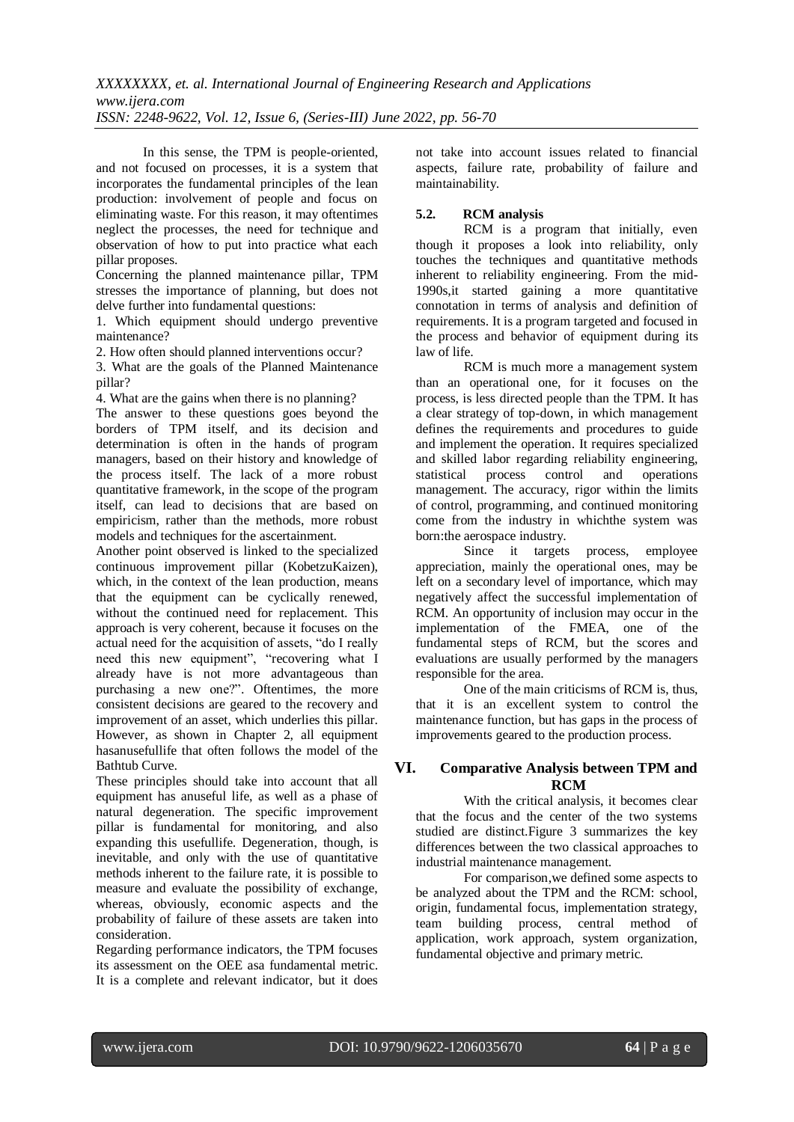In this sense, the TPM is people-oriented, and not focused on processes, it is a system that incorporates the fundamental principles of the lean production: involvement of people and focus on eliminating waste. For this reason, it may oftentimes neglect the processes, the need for technique and observation of how to put into practice what each pillar proposes.

Concerning the planned maintenance pillar, TPM stresses the importance of planning, but does not delve further into fundamental questions:

1. Which equipment should undergo preventive maintenance?

2. How often should planned interventions occur?

3. What are the goals of the Planned Maintenance pillar?

4. What are the gains when there is no planning?

The answer to these questions goes beyond the borders of TPM itself, and its decision and determination is often in the hands of program managers, based on their history and knowledge of the process itself. The lack of a more robust quantitative framework, in the scope of the program itself, can lead to decisions that are based on empiricism, rather than the methods, more robust models and techniques for the ascertainment.

Another point observed is linked to the specialized continuous improvement pillar (KobetzuKaizen), which, in the context of the lean production, means that the equipment can be cyclically renewed, without the continued need for replacement. This approach is very coherent, because it focuses on the actual need for the acquisition of assets, "do I really need this new equipment", "recovering what I already have is not more advantageous than purchasing a new one?". Oftentimes, the more consistent decisions are geared to the recovery and improvement of an asset, which underlies this pillar. However, as shown in Chapter 2, all equipment hasanusefullife that often follows the model of the Bathtub Curve.

These principles should take into account that all equipment has anuseful life, as well as a phase of natural degeneration. The specific improvement pillar is fundamental for monitoring, and also expanding this usefullife. Degeneration, though, is inevitable, and only with the use of quantitative methods inherent to the failure rate, it is possible to measure and evaluate the possibility of exchange, whereas, obviously, economic aspects and the probability of failure of these assets are taken into consideration.

Regarding performance indicators, the TPM focuses its assessment on the OEE asa fundamental metric. It is a complete and relevant indicator, but it does not take into account issues related to financial aspects, failure rate, probability of failure and maintainability.

## **5.2. RCM analysis**

RCM is a program that initially, even though it proposes a look into reliability, only touches the techniques and quantitative methods inherent to reliability engineering. From the mid-1990s,it started gaining a more quantitative connotation in terms of analysis and definition of requirements. It is a program targeted and focused in the process and behavior of equipment during its law of life.

RCM is much more a management system than an operational one, for it focuses on the process, is less directed people than the TPM. It has a clear strategy of top-down, in which management defines the requirements and procedures to guide and implement the operation. It requires specialized and skilled labor regarding reliability engineering, statistical process control and operations management. The accuracy, rigor within the limits of control, programming, and continued monitoring come from the industry in whichthe system was born:the aerospace industry.

Since it targets process, employee appreciation, mainly the operational ones, may be left on a secondary level of importance, which may negatively affect the successful implementation of RCM. An opportunity of inclusion may occur in the implementation of the FMEA, one of the fundamental steps of RCM, but the scores and evaluations are usually performed by the managers responsible for the area.

One of the main criticisms of RCM is, thus, that it is an excellent system to control the maintenance function, but has gaps in the process of improvements geared to the production process.

# **VI. Comparative Analysis between TPM and RCM**

With the critical analysis, it becomes clear that the focus and the center of the two systems studied are distinct.Figure 3 summarizes the key differences between the two classical approaches to industrial maintenance management.

For comparison,we defined some aspects to be analyzed about the TPM and the RCM: school, origin, fundamental focus, implementation strategy, team building process, central method of application, work approach, system organization, fundamental objective and primary metric.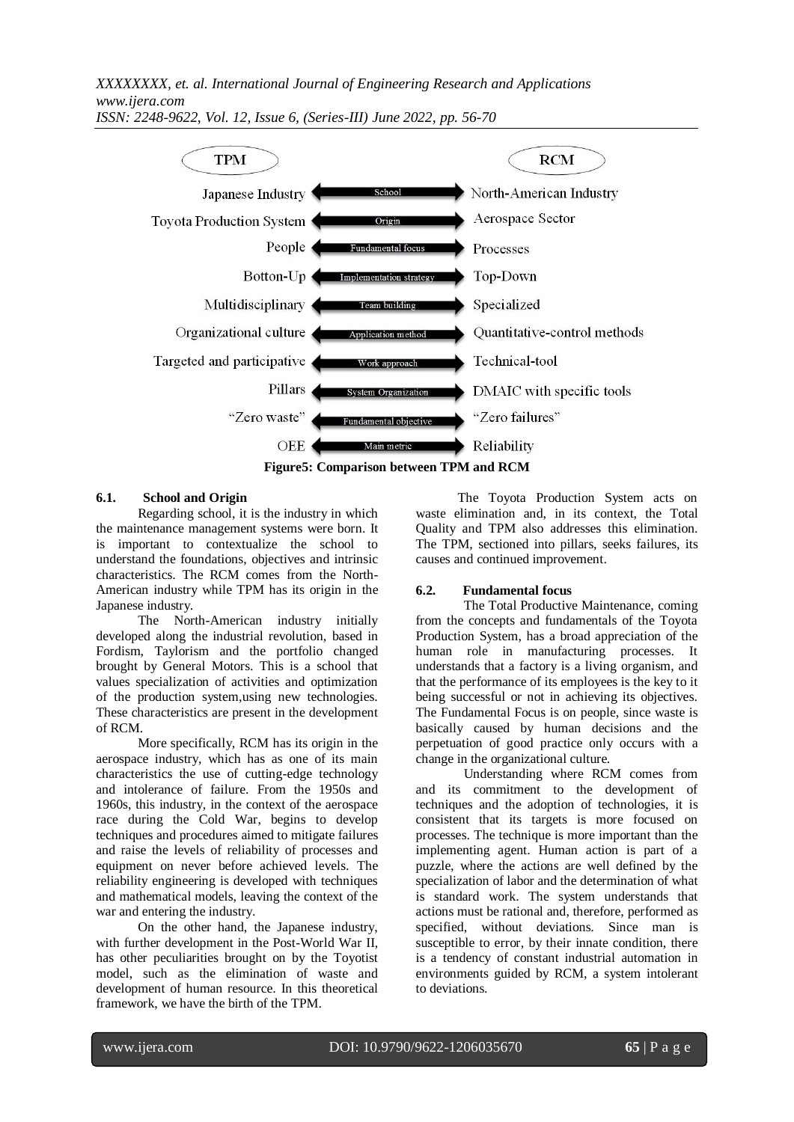*XXXXXXXX, et. al. International Journal of Engineering Research and Applications www.ijera.com*



*ISSN: 2248-9622, Vol. 12, Issue 6, (Series-III) June 2022, pp. 56-70*

#### **6.1. School and Origin**

Regarding school, it is the industry in which the maintenance management systems were born. It is important to contextualize the school to understand the foundations, objectives and intrinsic characteristics. The RCM comes from the North-American industry while TPM has its origin in the Japanese industry.

The North-American industry initially developed along the industrial revolution, based in Fordism, Taylorism and the portfolio changed brought by General Motors. This is a school that values specialization of activities and optimization of the production system,using new technologies. These characteristics are present in the development of RCM.

More specifically, RCM has its origin in the aerospace industry, which has as one of its main characteristics the use of cutting-edge technology and intolerance of failure. From the 1950s and 1960s, this industry, in the context of the aerospace race during the Cold War, begins to develop techniques and procedures aimed to mitigate failures and raise the levels of reliability of processes and equipment on never before achieved levels. The reliability engineering is developed with techniques and mathematical models, leaving the context of the war and entering the industry.

On the other hand, the Japanese industry, with further development in the Post-World War II, has other peculiarities brought on by the Toyotist model, such as the elimination of waste and development of human resource. In this theoretical framework, we have the birth of the TPM.

The Toyota Production System acts on waste elimination and, in its context, the Total Quality and TPM also addresses this elimination. The TPM, sectioned into pillars, seeks failures, its causes and continued improvement.

#### **6.2. Fundamental focus**

The Total Productive Maintenance, coming from the concepts and fundamentals of the Toyota Production System, has a broad appreciation of the human role in manufacturing processes. It understands that a factory is a living organism, and that the performance of its employees is the key to it being successful or not in achieving its objectives. The Fundamental Focus is on people, since waste is basically caused by human decisions and the perpetuation of good practice only occurs with a change in the organizational culture.

Understanding where RCM comes from and its commitment to the development of techniques and the adoption of technologies, it is consistent that its targets is more focused on processes. The technique is more important than the implementing agent. Human action is part of a puzzle, where the actions are well defined by the specialization of labor and the determination of what is standard work. The system understands that actions must be rational and, therefore, performed as specified, without deviations. Since man is susceptible to error, by their innate condition, there is a tendency of constant industrial automation in environments guided by RCM, a system intolerant to deviations.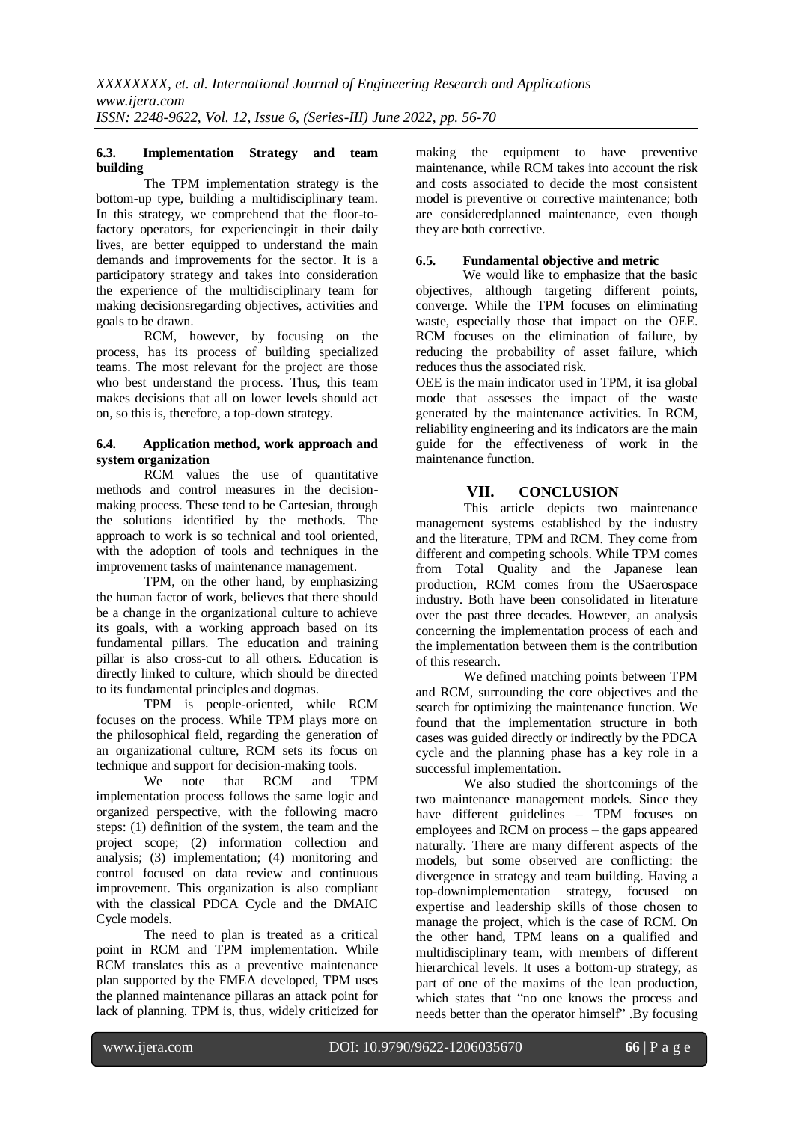#### **6.3. Implementation Strategy and team building**

The TPM implementation strategy is the bottom-up type, building a multidisciplinary team. In this strategy, we comprehend that the floor-tofactory operators, for experiencingit in their daily lives, are better equipped to understand the main demands and improvements for the sector. It is a participatory strategy and takes into consideration the experience of the multidisciplinary team for making decisionsregarding objectives, activities and goals to be drawn.

RCM, however, by focusing on the process, has its process of building specialized teams. The most relevant for the project are those who best understand the process. Thus, this team makes decisions that all on lower levels should act on, so this is, therefore, a top-down strategy.

#### **6.4. Application method, work approach and system organization**

RCM values the use of quantitative methods and control measures in the decisionmaking process. These tend to be Cartesian, through the solutions identified by the methods. The approach to work is so technical and tool oriented, with the adoption of tools and techniques in the improvement tasks of maintenance management.

TPM, on the other hand, by emphasizing the human factor of work, believes that there should be a change in the organizational culture to achieve its goals, with a working approach based on its fundamental pillars. The education and training pillar is also cross-cut to all others. Education is directly linked to culture, which should be directed to its fundamental principles and dogmas.

TPM is people-oriented, while RCM focuses on the process. While TPM plays more on the philosophical field, regarding the generation of an organizational culture, RCM sets its focus on technique and support for decision-making tools.

We note that RCM and TPM implementation process follows the same logic and organized perspective, with the following macro steps: (1) definition of the system, the team and the project scope; (2) information collection and analysis; (3) implementation; (4) monitoring and control focused on data review and continuous improvement. This organization is also compliant with the classical PDCA Cycle and the DMAIC Cycle models.

The need to plan is treated as a critical point in RCM and TPM implementation. While RCM translates this as a preventive maintenance plan supported by the FMEA developed, TPM uses the planned maintenance pillaras an attack point for lack of planning. TPM is, thus, widely criticized for

making the equipment to have preventive maintenance, while RCM takes into account the risk and costs associated to decide the most consistent model is preventive or corrective maintenance; both are consideredplanned maintenance, even though they are both corrective.

## **6.5. Fundamental objective and metric**

We would like to emphasize that the basic objectives, although targeting different points, converge. While the TPM focuses on eliminating waste, especially those that impact on the OEE. RCM focuses on the elimination of failure, by reducing the probability of asset failure, which reduces thus the associated risk.

OEE is the main indicator used in TPM, it isa global mode that assesses the impact of the waste generated by the maintenance activities. In RCM, reliability engineering and its indicators are the main guide for the effectiveness of work in the maintenance function.

# **VII. CONCLUSION**

This article depicts two maintenance management systems established by the industry and the literature, TPM and RCM. They come from different and competing schools. While TPM comes from Total Quality and the Japanese lean production, RCM comes from the USaerospace industry. Both have been consolidated in literature over the past three decades. However, an analysis concerning the implementation process of each and the implementation between them is the contribution of this research.

We defined matching points between TPM and RCM, surrounding the core objectives and the search for optimizing the maintenance function. We found that the implementation structure in both cases was guided directly or indirectly by the PDCA cycle and the planning phase has a key role in a successful implementation.

We also studied the shortcomings of the two maintenance management models. Since they have different guidelines – TPM focuses on employees and RCM on process – the gaps appeared naturally. There are many different aspects of the models, but some observed are conflicting: the divergence in strategy and team building. Having a top-downimplementation strategy, focused on expertise and leadership skills of those chosen to manage the project, which is the case of RCM. On the other hand, TPM leans on a qualified and multidisciplinary team, with members of different hierarchical levels. It uses a bottom-up strategy, as part of one of the maxims of the lean production, which states that "no one knows the process and needs better than the operator himself" .By focusing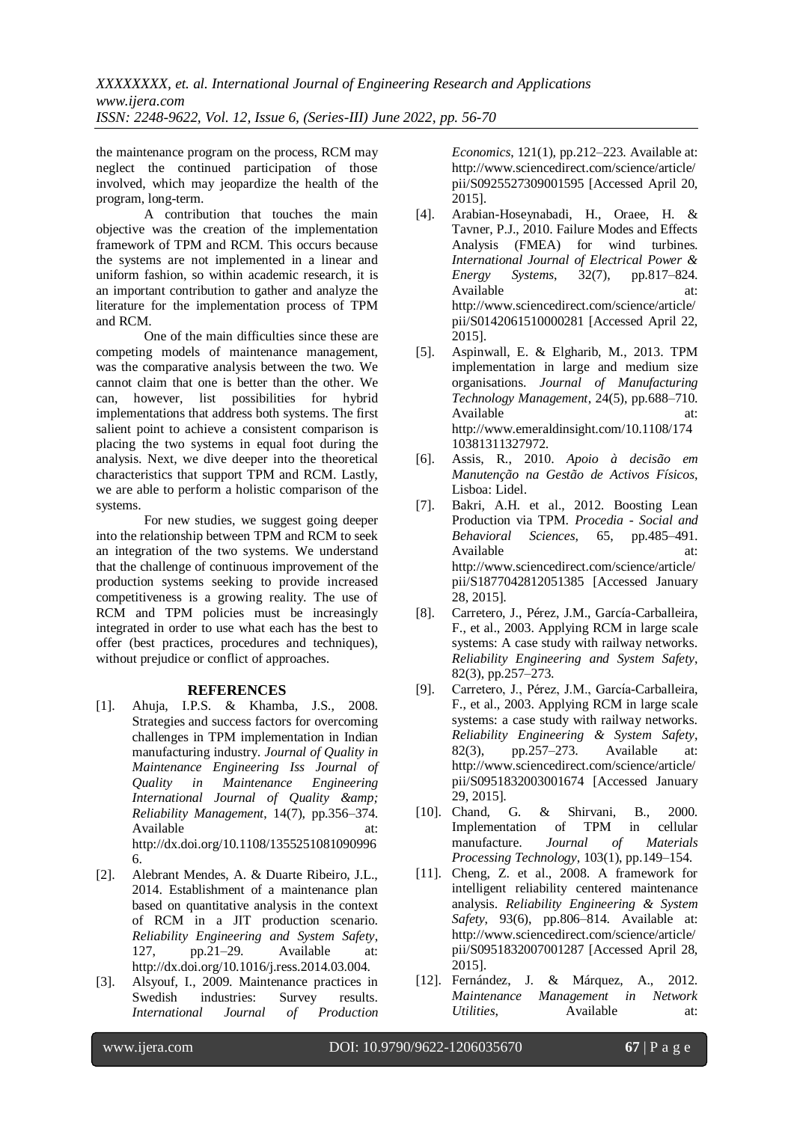the maintenance program on the process, RCM may neglect the continued participation of those involved, which may jeopardize the health of the program, long-term.

A contribution that touches the main objective was the creation of the implementation framework of TPM and RCM. This occurs because the systems are not implemented in a linear and uniform fashion, so within academic research, it is an important contribution to gather and analyze the literature for the implementation process of TPM and RCM.

One of the main difficulties since these are competing models of maintenance management, was the comparative analysis between the two. We cannot claim that one is better than the other. We can, however, list possibilities for hybrid implementations that address both systems. The first salient point to achieve a consistent comparison is placing the two systems in equal foot during the analysis. Next, we dive deeper into the theoretical characteristics that support TPM and RCM. Lastly, we are able to perform a holistic comparison of the systems.

For new studies, we suggest going deeper into the relationship between TPM and RCM to seek an integration of the two systems. We understand that the challenge of continuous improvement of the production systems seeking to provide increased competitiveness is a growing reality. The use of RCM and TPM policies must be increasingly integrated in order to use what each has the best to offer (best practices, procedures and techniques), without prejudice or conflict of approaches.

#### **REFERENCES**

- [1]. Ahuja, I.P.S. & Khamba, J.S., 2008. Strategies and success factors for overcoming challenges in TPM implementation in Indian manufacturing industry. *Journal of Quality in Maintenance Engineering Iss Journal of Quality in Maintenance Engineering*  International Journal of Quality & amp; *Reliability Management*, 14(7), pp.356–374. Available at: at: http://dx.doi.org/10.1108/1355251081090996 6.
- [2]. Alebrant Mendes, A. & Duarte Ribeiro, J.L., 2014. Establishment of a maintenance plan based on quantitative analysis in the context of RCM in a JIT production scenario. *Reliability Engineering and System Safety*, 127, pp.21–29. Available at: http://dx.doi.org/10.1016/j.ress.2014.03.004.
- [3]. Alsyouf, I., 2009. Maintenance practices in Swedish industries: Survey results. *International Journal of Production*

*Economics*, 121(1), pp.212–223. Available at: http://www.sciencedirect.com/science/article/ pii/S0925527309001595 [Accessed April 20, 2015].

- [4]. Arabian-Hoseynabadi, H., Oraee, H. & Tavner, P.J., 2010. Failure Modes and Effects Analysis (FMEA) for wind turbines. *International Journal of Electrical Power & Energy Systems*, 32(7), pp.817–824. Available http://www.sciencedirect.com/science/article/ pii/S0142061510000281 [Accessed April 22, 2015].
- [5]. Aspinwall, E. & Elgharib, M., 2013. TPM implementation in large and medium size organisations. *Journal of Manufacturing Technology Management*, 24(5), pp.688–710. Available at: http://www.emeraldinsight.com/10.1108/174 10381311327972.
- [6]. Assis, R., 2010. *Apoio à decisão em Manutenção na Gestão de Activos Físicos*, Lisboa: Lidel.
- [7]. Bakri, A.H. et al., 2012. Boosting Lean Production via TPM. *Procedia - Social and Behavioral Sciences*, 65, pp.485–491. Available at: at: http://www.sciencedirect.com/science/article/ pii/S1877042812051385 [Accessed January 28, 2015].
- [8]. Carretero, J., Pérez, J.M., García-Carballeira, F., et al., 2003. Applying RCM in large scale systems: A case study with railway networks. *Reliability Engineering and System Safety*, 82(3), pp.257–273.
- [9]. Carretero, J., Pérez, J.M., García-Carballeira, F., et al., 2003. Applying RCM in large scale systems: a case study with railway networks. *Reliability Engineering & System Safety*, 82(3), pp.257–273. Available at: http://www.sciencedirect.com/science/article/ pii/S0951832003001674 [Accessed January 29, 2015].
- [10]. Chand, G. & Shirvani, B., 2000. Implementation of TPM in cellular manufacture. *Journal of Materials Processing Technology*, 103(1), pp.149–154.
- [11]. Cheng, Z. et al., 2008. A framework for intelligent reliability centered maintenance analysis. *Reliability Engineering & System Safety*, 93(6), pp.806–814. Available at: http://www.sciencedirect.com/science/article/ pii/S0951832007001287 [Accessed April 28, 2015].
- [12]. Fernández, J. & Márquez, A., 2012. *Maintenance Management in Network Utilities*, Available at: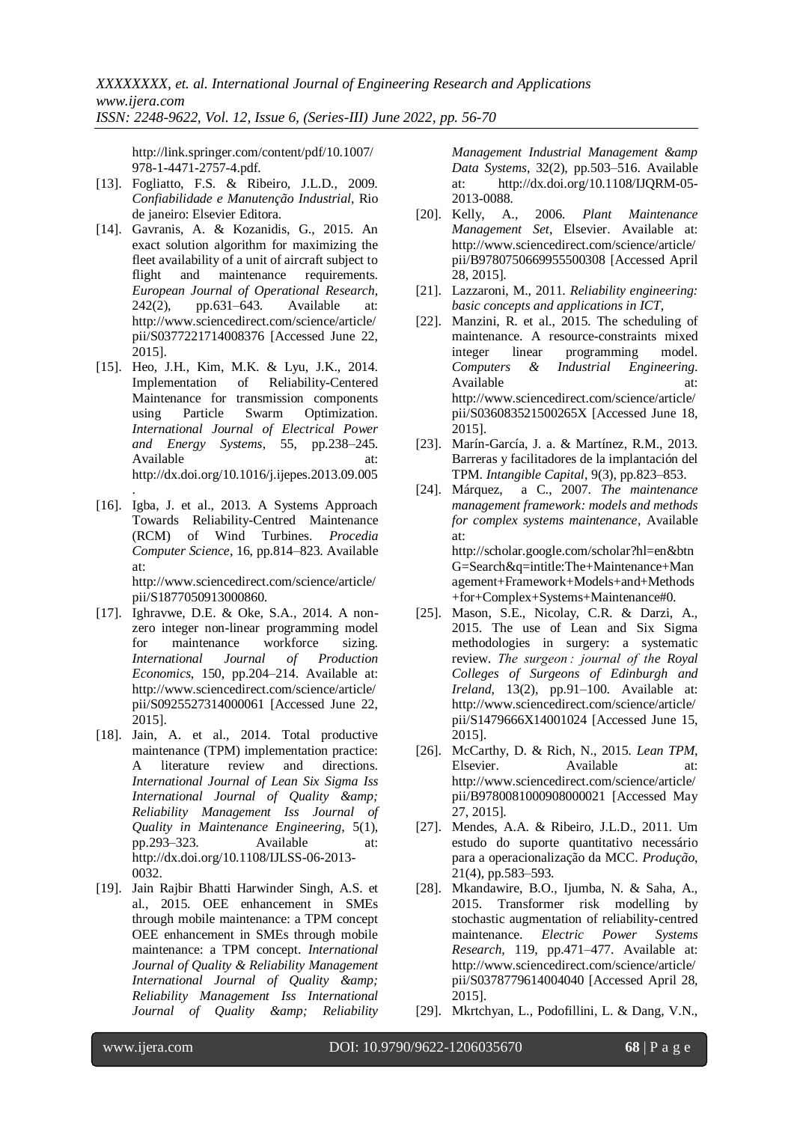http://link.springer.com/content/pdf/10.1007/ 978-1-4471-2757-4.pdf.

- [13]. Fogliatto, F.S. & Ribeiro, J.L.D., 2009. *Confiabilidade e Manutenção Industrial*, Rio de janeiro: Elsevier Editora.
- [14]. Gavranis, A. & Kozanidis, G., 2015. An exact solution algorithm for maximizing the fleet availability of a unit of aircraft subject to flight and maintenance requirements. *European Journal of Operational Research*, 242(2), pp.631–643. Available at: http://www.sciencedirect.com/science/article/ pii/S0377221714008376 [Accessed June 22, 2015].
- [15]. Heo, J.H., Kim, M.K. & Lyu, J.K., 2014. Implementation of Reliability-Centered Maintenance for transmission components using Particle Swarm Optimization. *International Journal of Electrical Power and Energy Systems*, 55, pp.238–245. Available at: http://dx.doi.org/10.1016/j.ijepes.2013.09.005
- . [16]. Igba, J. et al., 2013. A Systems Approach Towards Reliability-Centred Maintenance (RCM) of Wind Turbines. *Procedia Computer Science*, 16, pp.814–823. Available at: http://www.sciencedirect.com/science/article/

pii/S1877050913000860.

- [17]. Ighravwe, D.E. & Oke, S.A., 2014. A nonzero integer non-linear programming model for maintenance workforce sizing. *International Journal of Production Economics*, 150, pp.204–214. Available at: http://www.sciencedirect.com/science/article/ pii/S0925527314000061 [Accessed June 22, 2015].
- [18]. Jain, A. et al., 2014. Total productive maintenance (TPM) implementation practice: A literature review and directions. *International Journal of Lean Six Sigma Iss International Journal of Quality & amp*; *Reliability Management Iss Journal of Quality in Maintenance Engineering*, 5(1), pp.293–323. Available at: http://dx.doi.org/10.1108/IJLSS-06-2013- 0032.
- [19]. Jain Rajbir Bhatti Harwinder Singh, A.S. et al., 2015. OEE enhancement in SMEs through mobile maintenance: a TPM concept OEE enhancement in SMEs through mobile maintenance: a TPM concept. *International Journal of Quality & Reliability Management International Journal of Quality & Reliability Management Iss International Journal of Quality & Reliability*

*Management Industrial Management &amp Data Systems*, 32(2), pp.503–516. Available at: http://dx.doi.org/10.1108/IJQRM-05- 2013-0088.

- [20]. Kelly, A., 2006. *Plant Maintenance Management Set*, Elsevier. Available at: http://www.sciencedirect.com/science/article/ pii/B9780750669955500308 [Accessed April 28, 2015].
- [21]. Lazzaroni, M., 2011. *Reliability engineering: basic concepts and applications in ICT*,
- [22]. Manzini, R. et al., 2015. The scheduling of maintenance. A resource-constraints mixed integer linear programming model. *Computers & Industrial Engineering*. Available at: http://www.sciencedirect.com/science/article/ pii/S036083521500265X [Accessed June 18, 2015].
- [23]. Marín-García, J. a. & Martínez, R.M., 2013. Barreras y facilitadores de la implantación del TPM. *Intangible Capital*, 9(3), pp.823–853.
- [24]. Márquez, a C., 2007. *The maintenance management framework: models and methods for complex systems maintenance*, Available at: http://scholar.google.com/scholar?hl=en&btn G=Search&q=intitle:The+Maintenance+Man agement+Framework+Models+and+Methods +for+Complex+Systems+Maintenance#0.
- [25]. Mason, S.E., Nicolay, C.R. & Darzi, A., 2015. The use of Lean and Six Sigma methodologies in surgery: a systematic review. *The surgeon : journal of the Royal Colleges of Surgeons of Edinburgh and Ireland*, 13(2), pp.91–100. Available at: http://www.sciencedirect.com/science/article/ pii/S1479666X14001024 [Accessed June 15, 2015].
- [26]. McCarthy, D. & Rich, N., 2015. *Lean TPM*, Elsevier. Available at: http://www.sciencedirect.com/science/article/ pii/B9780081000908000021 [Accessed May 27, 2015].
- [27]. Mendes, A.A. & Ribeiro, J.L.D., 2011. Um estudo do suporte quantitativo necessário para a operacionalização da MCC. *Produção*, 21(4), pp.583–593.
- [28]. Mkandawire, B.O., Ijumba, N. & Saha, A., 2015. Transformer risk modelling by stochastic augmentation of reliability-centred maintenance. *Electric Power Systems Research*, 119, pp.471–477. Available at: http://www.sciencedirect.com/science/article/ pii/S0378779614004040 [Accessed April 28, 2015].
- [29]. Mkrtchyan, L., Podofillini, L. & Dang, V.N.,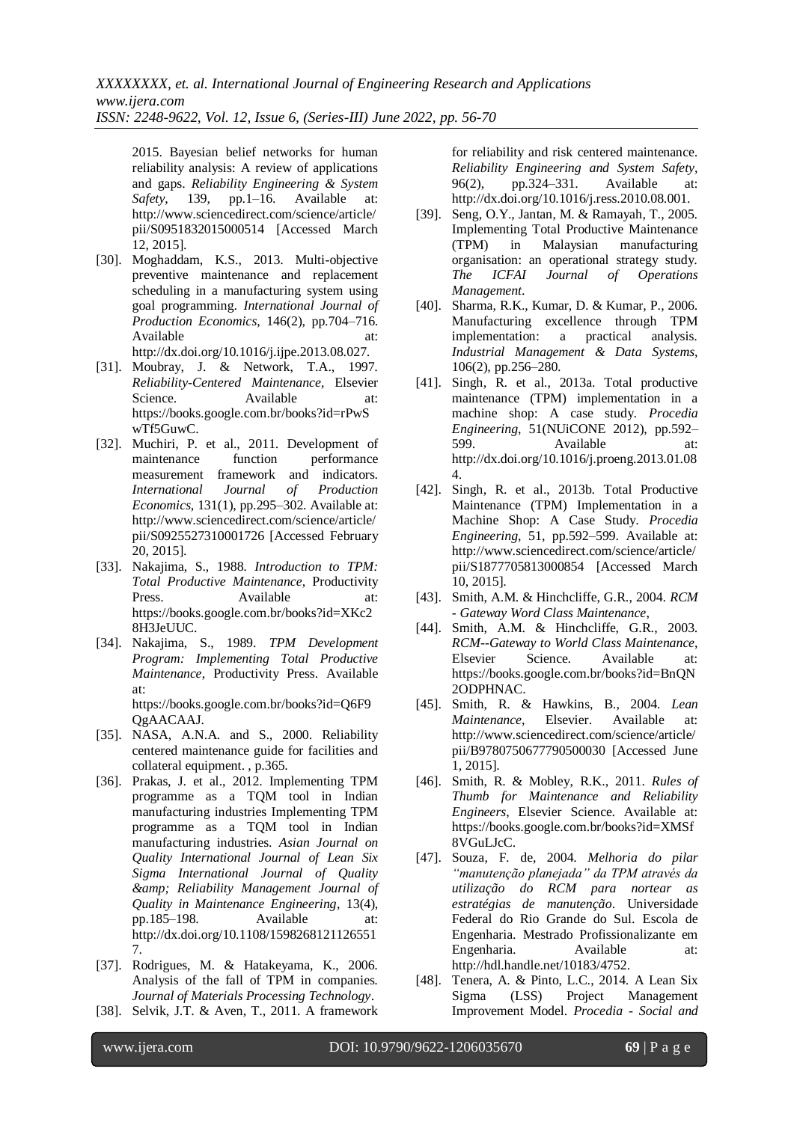2015. Bayesian belief networks for human reliability analysis: A review of applications and gaps. *Reliability Engineering & System Safety*, 139, pp.1–16. Available at: http://www.sciencedirect.com/science/article/ pii/S0951832015000514 [Accessed March 12, 2015].

- [30]. Moghaddam, K.S., 2013. Multi-objective preventive maintenance and replacement scheduling in a manufacturing system using goal programming. *International Journal of Production Economics*, 146(2), pp.704–716. Available at: http://dx.doi.org/10.1016/j.ijpe.2013.08.027.
- [31]. Moubray, J. & Network, T.A., 1997. *Reliability-Centered Maintenance*, Elsevier Science. Available at: https://books.google.com.br/books?id=rPwS wTf5GuwC.
- [32]. Muchiri, P. et al., 2011. Development of maintenance function performance measurement framework and indicators. *International Journal of Production Economics*, 131(1), pp.295–302. Available at: http://www.sciencedirect.com/science/article/ pii/S0925527310001726 [Accessed February 20, 2015].
- [33]. Nakajima, S., 1988. *Introduction to TPM: Total Productive Maintenance*, Productivity Press. Available at: https://books.google.com.br/books?id=XKc2 8H3JeUUC.
- [34]. Nakajima, S., 1989. *TPM Development Program: Implementing Total Productive Maintenance*, Productivity Press. Available at: https://books.google.com.br/books?id=Q6F9
- QgAACAAJ. [35]. NASA, A.N.A. and S., 2000. Reliability centered maintenance guide for facilities and collateral equipment. , p.365.
- [36]. Prakas, J. et al., 2012. Implementing TPM programme as a TQM tool in Indian manufacturing industries Implementing TPM programme as a TQM tool in Indian manufacturing industries. *Asian Journal on Quality International Journal of Lean Six Sigma International Journal of Quality & Reliability Management Journal of Quality in Maintenance Engineering*, 13(4), pp.185–198. Available http://dx.doi.org/10.1108/1598268121126551 7.
- [37]. Rodrigues, M. & Hatakeyama, K., 2006. Analysis of the fall of TPM in companies. *Journal of Materials Processing Technology*.
- [38]. Selvik, J.T. & Aven, T., 2011. A framework

for reliability and risk centered maintenance. *Reliability Engineering and System Safety*, 96(2), pp.324–331. Available at: http://dx.doi.org/10.1016/j.ress.2010.08.001.

- [39]. Seng, O.Y., Jantan, M. & Ramayah, T., 2005. Implementing Total Productive Maintenance (TPM) in Malaysian manufacturing organisation: an operational strategy study. *The ICFAI Journal of Operations Management*.
- [40]. Sharma, R.K., Kumar, D. & Kumar, P., 2006. Manufacturing excellence through TPM implementation: a practical analysis. *Industrial Management & Data Systems*, 106(2), pp.256–280.
- [41]. Singh, R. et al., 2013a. Total productive maintenance (TPM) implementation in a machine shop: A case study. *Procedia Engineering*, 51(NUiCONE 2012), pp.592– 599. Available at: http://dx.doi.org/10.1016/j.proeng.2013.01.08 4.
- [42]. Singh, R. et al., 2013b. Total Productive Maintenance (TPM) Implementation in a Machine Shop: A Case Study. *Procedia Engineering*, 51, pp.592–599. Available at: http://www.sciencedirect.com/science/article/ pii/S1877705813000854 [Accessed March 10, 2015].
- [43]. Smith, A.M. & Hinchcliffe, G.R., 2004. *RCM - Gateway Word Class Maintenance*,
- [44]. Smith, A.M. & Hinchcliffe, G.R., 2003. *RCM--Gateway to World Class Maintenance*, Elsevier Science. Available at: https://books.google.com.br/books?id=BnQN 2ODPHNAC.
- [45]. Smith, R. & Hawkins, B., 2004. *Lean Maintenance*, Elsevier. Available at: http://www.sciencedirect.com/science/article/ pii/B9780750677790500030 [Accessed June 1, 2015].
- [46]. Smith, R. & Mobley, R.K., 2011. *Rules of Thumb for Maintenance and Reliability Engineers*, Elsevier Science. Available at: https://books.google.com.br/books?id=XMSf 8VGuLJcC.
- [47]. Souza, F. de, 2004. *Melhoria do pilar "manutenção planejada" da TPM através da utilização do RCM para nortear as estratégias de manutenção*. Universidade Federal do Rio Grande do Sul. Escola de Engenharia. Mestrado Profissionalizante em Engenharia. Available at: http://hdl.handle.net/10183/4752.
- [48]. Tenera, A. & Pinto, L.C., 2014. A Lean Six Sigma (LSS) Project Management Improvement Model. *Procedia - Social and*